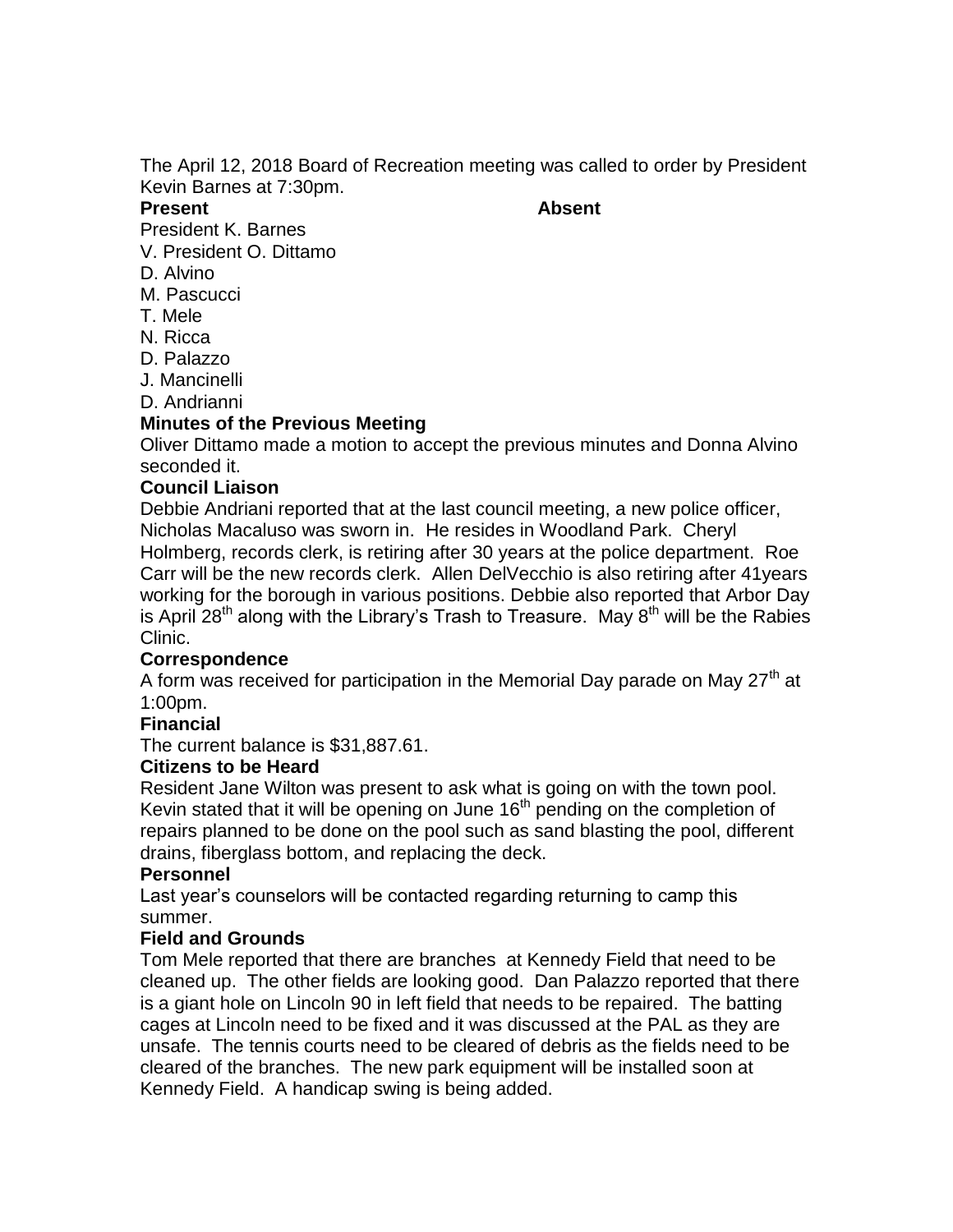The April 12, 2018 Board of Recreation meeting was called to order by President Kevin Barnes at 7:30pm.

#### **Present Absent**

President K. Barnes

- V. President O. Dittamo D. Alvino
- 
- M. Pascucci
- T. Mele
- N. Ricca
- D. Palazzo
- J. Mancinelli
- D. Andrianni

# **Minutes of the Previous Meeting**

Oliver Dittamo made a motion to accept the previous minutes and Donna Alvino seconded it.

# **Council Liaison**

Debbie Andriani reported that at the last council meeting, a new police officer, Nicholas Macaluso was sworn in. He resides in Woodland Park. Cheryl Holmberg, records clerk, is retiring after 30 years at the police department. Roe Carr will be the new records clerk. Allen DelVecchio is also retiring after 41years working for the borough in various positions. Debbie also reported that Arbor Day is April 28<sup>th</sup> along with the Library's Trash to Treasure. May  $8^{th}$  will be the Rabies Clinic.

# **Correspondence**

A form was received for participation in the Memorial Day parade on May 27<sup>th</sup> at 1:00pm.

# **Financial**

The current balance is \$31,887.61.

# **Citizens to be Heard**

Resident Jane Wilton was present to ask what is going on with the town pool. Kevin stated that it will be opening on June  $16<sup>th</sup>$  pending on the completion of repairs planned to be done on the pool such as sand blasting the pool, different drains, fiberglass bottom, and replacing the deck.

### **Personnel**

Last year's counselors will be contacted regarding returning to camp this summer.

# **Field and Grounds**

Tom Mele reported that there are branches at Kennedy Field that need to be cleaned up. The other fields are looking good. Dan Palazzo reported that there is a giant hole on Lincoln 90 in left field that needs to be repaired. The batting cages at Lincoln need to be fixed and it was discussed at the PAL as they are unsafe. The tennis courts need to be cleared of debris as the fields need to be cleared of the branches. The new park equipment will be installed soon at Kennedy Field. A handicap swing is being added.